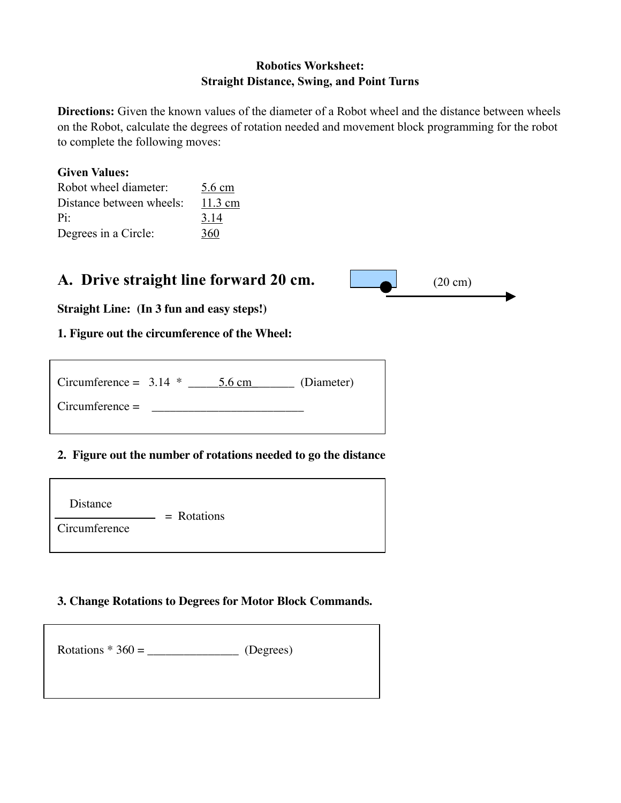## Robotics Worksheet: Straight Distance, Swing, and Point Turns

Directions: Given the known values of the diameter of a Robot wheel and the distance between wheels on the Robot, calculate the degrees of rotation needed and movement block programming for the robot to complete the following moves:

## Given Values:

| Robot wheel diameter:    | 5.6 cm            |
|--------------------------|-------------------|
| Distance between wheels: | $11.3 \text{ cm}$ |
| Pi:                      | 3.14              |
| Degrees in a Circle:     | 360               |

# A. Drive straight line forward 20 cm.

| $(20 \text{ cm})$ |  |
|-------------------|--|
|                   |  |

**Straight Line: (In 3 fun and easy steps!)**

## **1. Figure out the circumference of the Wheel:**

| Circumference = $3.14$ * |  | $5.6 \text{ cm}$ | (Diameter) |
|--------------------------|--|------------------|------------|
| $Circumference =$        |  |                  |            |
|                          |  |                  |            |

## **2. Figure out the number of rotations needed to go the distance**

| Distance      | $=$ Rotations |  |
|---------------|---------------|--|
| Circumference |               |  |

## **3. Change Rotations to Degrees for Motor Block Commands.**

| Rotations $*360 =$ | (Degrees) |  |
|--------------------|-----------|--|
|                    |           |  |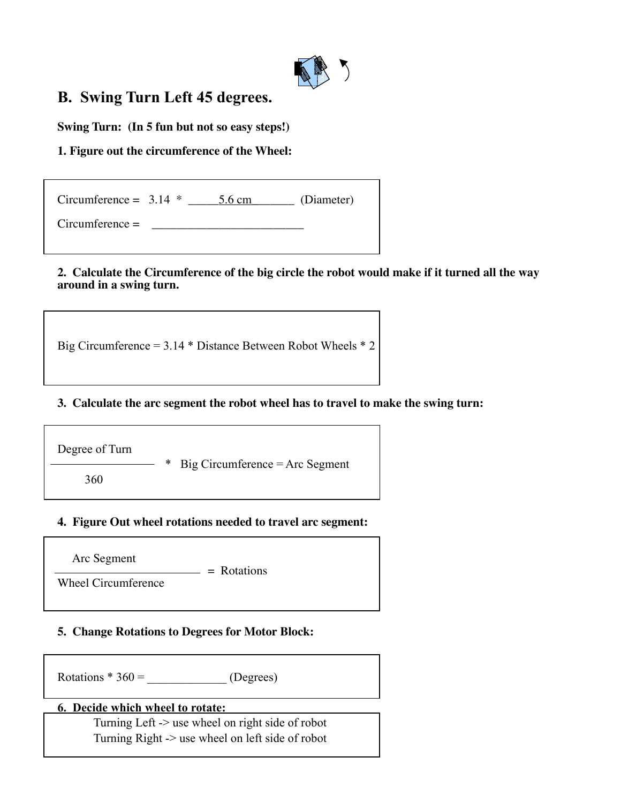

# B. Swing Turn Left 45 degrees.

**Swing Turn: (In 5 fun but not so easy steps!)**

## **1. Figure out the circumference of the Wheel:**

| Circumference = $3.14$ * | 5.6 cm | (Diameter) |
|--------------------------|--------|------------|
| $Circumference =$        |        |            |

#### **2. Calculate the Circumference of the big circle the robot would make if it turned all the way around in a swing turn.**

Big Circumference = 3.14 \* Distance Between Robot Wheels \* 2

#### **3. Calculate the arc segment the robot wheel has to travel to make the swing turn:**

Degree of Turn \* Big Circumference = Arc Segment 360

## **4. Figure Out wheel rotations needed to travel arc segment:**

Arc Segment

 $=$  Rotations Wheel Circumference

## **5. Change Rotations to Degrees for Motor Block:**

Rotations  $*360 =$  (Degrees)

## 6. Decide which wheel to rotate:

Turning Left -> use wheel on right side of robot Turning Right -> use wheel on left side of robot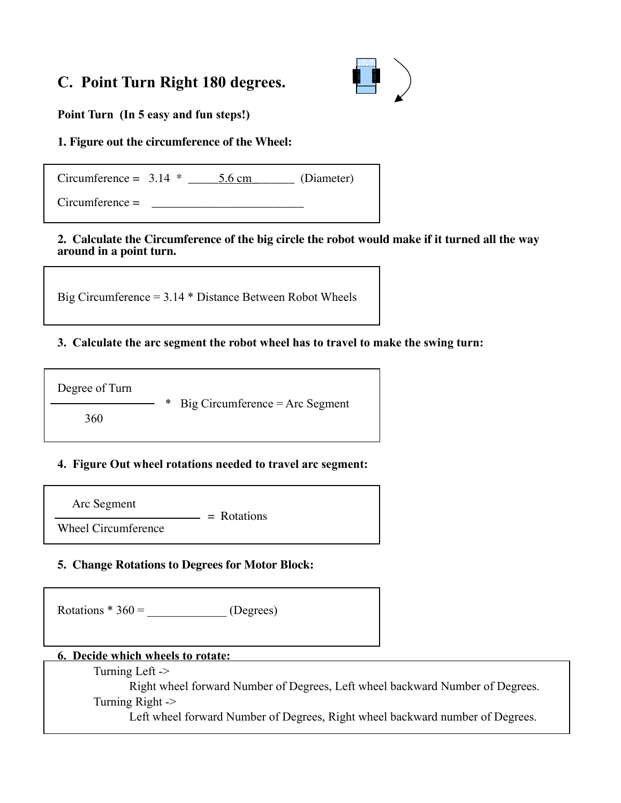# C. Point Turn Right 180 degrees.



Point Turn (In 5 easy and fun steps!)

## **1. Figure out the circumference of the Wheel:**

 $Circumference = 3.14 *  $\underline{\hspace{1cm}} 5.6 \text{ cm}$  (Diameter)$ 

 $Circumference =$ 

#### **2. Calculate the Circumference of the big circle the robot would make if it turned all the way around in a point turn.**

Big Circumference = 3.14 \* Distance Between Robot Wheels

## 3. Calculate the arc segment the robot wheel has to travel to make the swing turn:

Degree of Turn

 $Big$  Circumference  $=$  Arc Segment

360

## 4. Figure Out wheel rotations needed to travel arc segment:

Arc Segment

 $=$  Rotations Wheel Circumference

## **5. Change Rotations to Degrees for Motor Block:**

Rotations  $*360 =$  (Degrees)

## 6. Decide which wheels to rotate:

Turning Left ->

Right wheel forward Number of Degrees, Left wheel backward Number of Degrees. Turning Right ->

Left wheel forward Number of Degrees, Right wheel backward number of Degrees.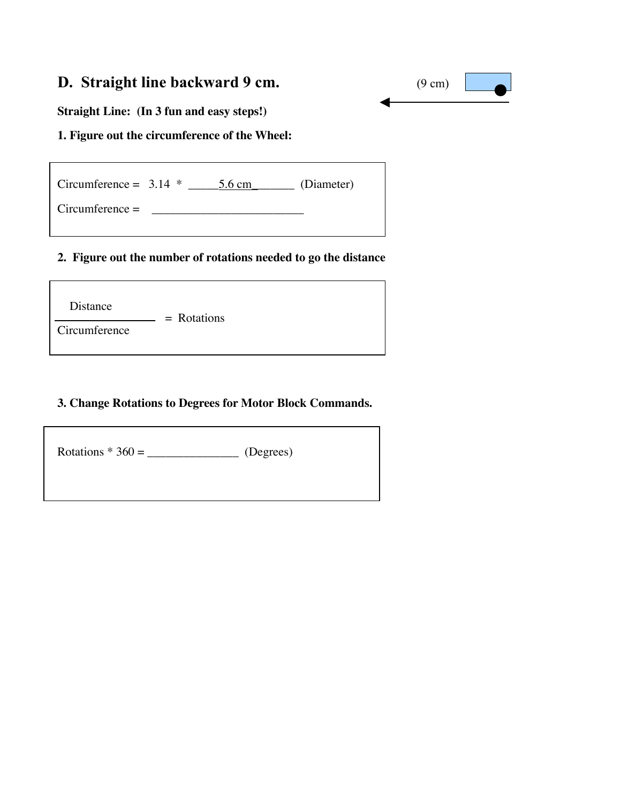# D. Straight line backward 9 cm. (9 cm)



**Straight Line: (In 3 fun and easy steps!)**

## **1. Figure out the circumference of the Wheel:**

 $Circumference = 3.14 * 5.6 cm$  (Diameter)

Circumference = \_\_\_\_\_\_\_\_\_\_\_\_\_\_\_\_\_\_\_\_\_\_\_\_\_

#### **2. Figure out the number of rotations needed to go the distance**

Distance

**Circumference** 

## **3. Change Rotations to Degrees for Motor Block Commands.**

Rotations \* 360 = \_\_\_\_\_\_\_\_\_\_\_\_\_\_\_ (Degrees)

 $=$  Rotations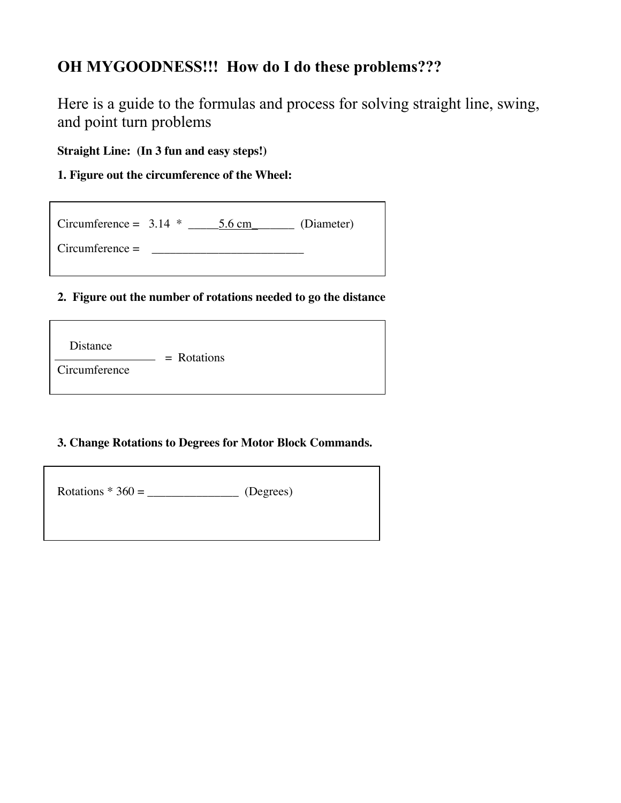# OH MYGOODNESS!!! How do I do these problems???

Here is a guide to the formulas and process for solving straight line, swing, and point turn problems

**Straight Line: (In 3 fun and easy steps!)**

**1. Figure out the circumference of the Wheel:**

| Circumference = $3.14$ * | $5.6 \text{ cm}$ | (Diameter) |
|--------------------------|------------------|------------|
| $Circumference =$        |                  |            |

## **2. Figure out the number of rotations needed to go the distance**

| Distance      | $=$ Rotations |  |
|---------------|---------------|--|
| Circumference |               |  |

## **3. Change Rotations to Degrees for Motor Block Commands.**

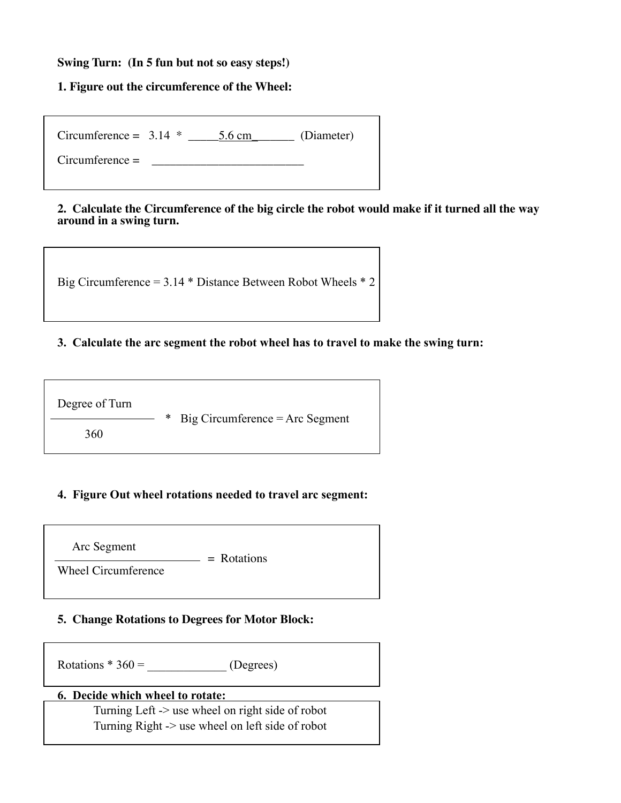#### **Swing Turn: (In 5 fun but not so easy steps!)**

#### **1. Figure out the circumference of the Wheel:**

| Circumference = $3.14$ * | 5.6 cm | (Diameter) |
|--------------------------|--------|------------|
| $Circumference =$        |        |            |

#### **2. Calculate the Circumference of the big circle the robot would make if it turned all the way around in a swing turn.**



## 3. Calculate the arc segment the robot wheel has to travel to make the swing turn:



## 4. Figure Out wheel rotations needed to travel arc segment:



## **5. Change Rotations to Degrees for Motor Block:**

Rotations \* 360 = \_\_\_\_\_\_\_\_\_\_\_\_\_ (Degrees)

## 6. Decide which wheel to rotate:

Turning Left -> use wheel on right side of robot Turning Right -> use wheel on left side of robot